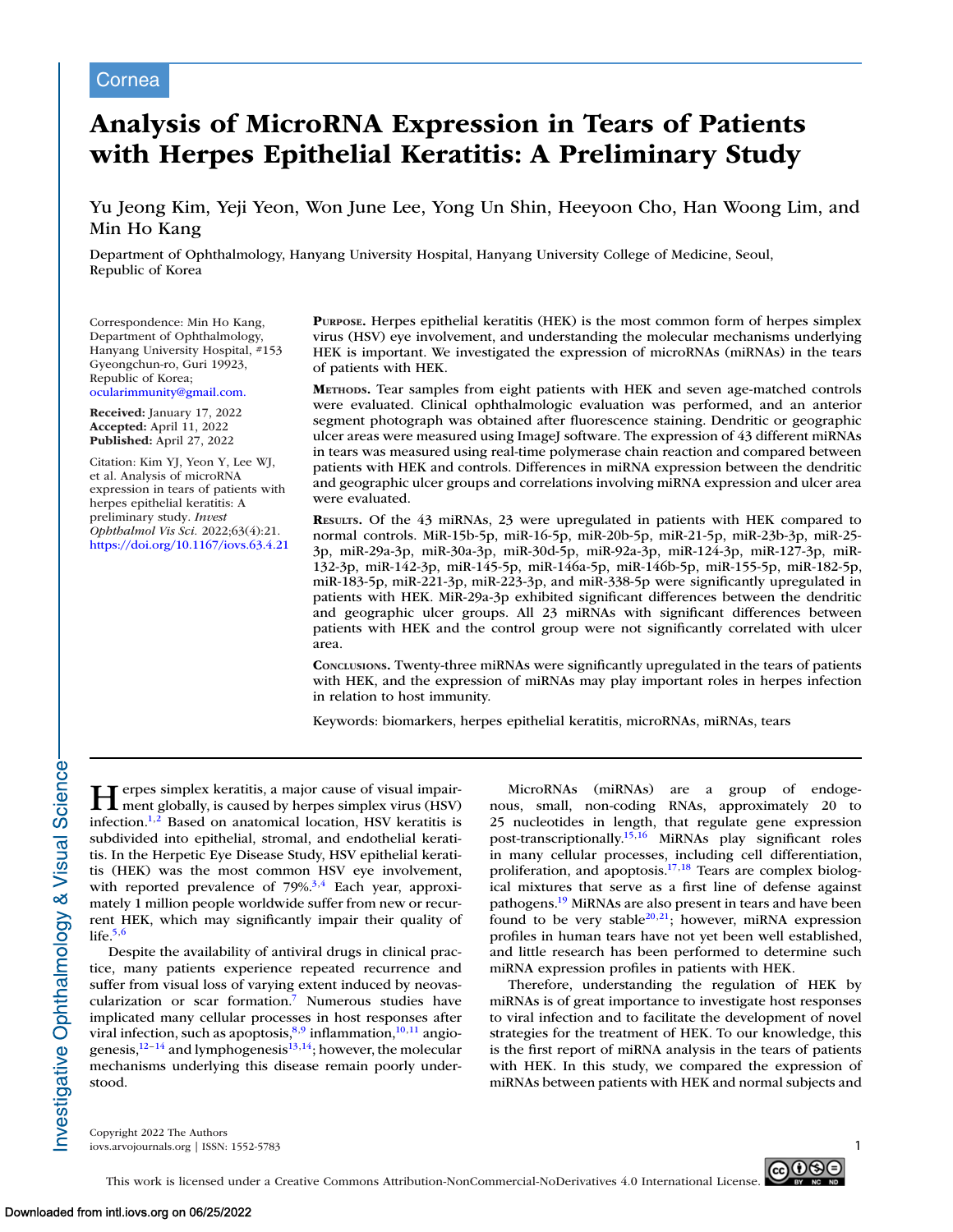# Cornea

# **Analysis of MicroRNA Expression in Tears of Patients with Herpes Epithelial Keratitis: A Preliminary Study**

# Yu Jeong Kim, Yeji Yeon, Won June Lee, Yong Un Shin, Heeyoon Cho, Han Woong Lim, and Min Ho Kang

Department of Ophthalmology, Hanyang University Hospital, Hanyang University College of Medicine, Seoul, Republic of Korea

Correspondence: Min Ho Kang, Department of Ophthalmology, Hanyang University Hospital, #153 Gyeongchun-ro, Guri 19923, Republic of Korea; [ocularimmunity@gmail.com.](mailto:ocularimmunity@gmail.com.)

**Received:** January 17, 2022 **Accepted:** April 11, 2022 **Published:** April 27, 2022

Citation: Kim YJ, Yeon Y, Lee WJ, et al. Analysis of microRNA expression in tears of patients with herpes epithelial keratitis: A preliminary study. *Invest Ophthalmol Vis Sci.* 2022;63(4):21. <https://doi.org/10.1167/iovs.63.4.21> **PURPOSE.** Herpes epithelial keratitis (HEK) is the most common form of herpes simplex virus (HSV) eye involvement, and understanding the molecular mechanisms underlying HEK is important. We investigated the expression of microRNAs (miRNAs) in the tears of patients with HEK.

**METHODS.** Tear samples from eight patients with HEK and seven age-matched controls were evaluated. Clinical ophthalmologic evaluation was performed, and an anterior segment photograph was obtained after fluorescence staining. Dendritic or geographic ulcer areas were measured using ImageJ software. The expression of 43 different miRNAs in tears was measured using real-time polymerase chain reaction and compared between patients with HEK and controls. Differences in miRNA expression between the dendritic and geographic ulcer groups and correlations involving miRNA expression and ulcer area were evaluated.

**RESULTS.** Of the 43 miRNAs, 23 were upregulated in patients with HEK compared to normal controls. MiR-15b-5p, miR-16-5p, miR-20b-5p, miR-21-5p, miR-23b-3p, miR-25- 3p, miR-29a-3p, miR-30a-3p, miR-30d-5p, miR-92a-3p, miR-124-3p, miR-127-3p, miR-132-3p, miR-142-3p, miR-145-5p, miR-146a-5p, miR-146b-5p, miR-155-5p, miR-182-5p, miR-183-5p, miR-221-3p, miR-223-3p, and miR-338-5p were significantly upregulated in patients with HEK. MiR-29a-3p exhibited significant differences between the dendritic and geographic ulcer groups. All 23 miRNAs with significant differences between patients with HEK and the control group were not significantly correlated with ulcer area.

**CONCLUSIONS.** Twenty-three miRNAs were significantly upregulated in the tears of patients with HEK, and the expression of miRNAs may play important roles in herpes infection in relation to host immunity.

Keywords: biomarkers, herpes epithelial keratitis, microRNAs, miRNAs, tears

**Herpes simplex keratitis, a major cause of visual impair-**<br>ment globally, is caused by herpes simplex virus (HSV) infection[.1,2](#page-6-0) Based on anatomical location, HSV keratitis is subdivided into epithelial, stromal, and endothelial keratitis. In the Herpetic Eye Disease Study, HSV epithelial keratitis (HEK) was the most common HSV eye involvement, with reported prevalence of  $79\%$ <sup>3,4</sup> Each year, approximately 1 million people worldwide suffer from new or recurrent HEK, which may significantly impair their quality of life. $5,6$ 

Despite the availability of antiviral drugs in clinical practice, many patients experience repeated recurrence and suffer from visual loss of varying extent induced by neovascularization or scar formation[.7](#page-6-0) Numerous studies have implicated many cellular processes in host responses after viral infection, such as apoptosis, $8,9$  inflammation, $10,11$  angiogenesis, $12-14$  and lymphogenesis $13,14$ ; however, the molecular mechanisms underlying this disease remain poorly understood.

MicroRNAs (miRNAs) are a group of endogenous, small, non-coding RNAs, approximately 20 to 25 nucleotides in length, that regulate gene expression post-transcriptionally[.15,16](#page-6-0) MiRNAs play significant roles in many cellular processes, including cell differentiation, proliferation, and apoptosis.<sup>17,18</sup> Tears are complex biological mixtures that serve as a first line of defense against pathogens[.19](#page-6-0) MiRNAs are also present in tears and have been found to be very stable<sup>20,21</sup>; however, miRNA expression profiles in human tears have not yet been well established, and little research has been performed to determine such miRNA expression profiles in patients with HEK.

Therefore, understanding the regulation of HEK by miRNAs is of great importance to investigate host responses to viral infection and to facilitate the development of novel strategies for the treatment of HEK. To our knowledge, this is the first report of miRNA analysis in the tears of patients with HEK. In this study, we compared the expression of miRNAs between patients with HEK and normal subjects and

Copyright 2022 The Authors iovs.arvojournals.org | ISSN: 1552-5783 1



Investigative Ophthalmology & Visual Science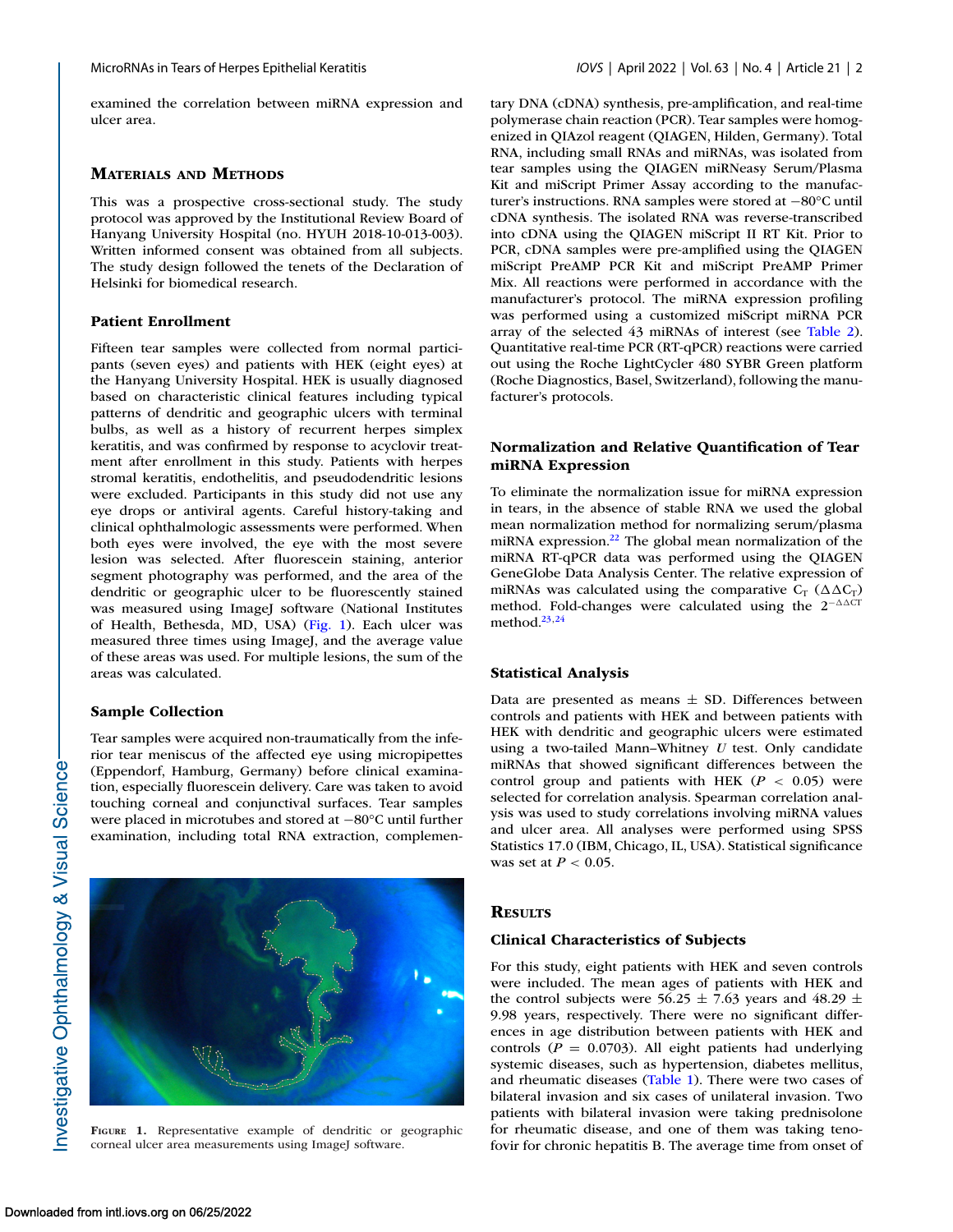examined the correlation between miRNA expression and ulcer area.

#### **MATERIALS AND METHODS**

This was a prospective cross-sectional study. The study protocol was approved by the Institutional Review Board of Hanyang University Hospital (no. HYUH 2018-10-013-003). Written informed consent was obtained from all subjects. The study design followed the tenets of the Declaration of Helsinki for biomedical research.

## **Patient Enrollment**

Fifteen tear samples were collected from normal participants (seven eyes) and patients with HEK (eight eyes) at the Hanyang University Hospital. HEK is usually diagnosed based on characteristic clinical features including typical patterns of dendritic and geographic ulcers with terminal bulbs, as well as a history of recurrent herpes simplex keratitis, and was confirmed by response to acyclovir treatment after enrollment in this study. Patients with herpes stromal keratitis, endothelitis, and pseudodendritic lesions were excluded. Participants in this study did not use any eye drops or antiviral agents. Careful history-taking and clinical ophthalmologic assessments were performed. When both eyes were involved, the eye with the most severe lesion was selected. After fluorescein staining, anterior segment photography was performed, and the area of the dendritic or geographic ulcer to be fluorescently stained was measured using ImageJ software (National Institutes of Health, Bethesda, MD, USA) (Fig. 1). Each ulcer was measured three times using ImageJ, and the average value of these areas was used. For multiple lesions, the sum of the areas was calculated.

#### **Sample Collection**

Tear samples were acquired non-traumatically from the inferior tear meniscus of the affected eye using micropipettes (Eppendorf, Hamburg, Germany) before clinical examination, especially fluorescein delivery. Care was taken to avoid touching corneal and conjunctival surfaces. Tear samples were placed in microtubes and stored at −80°C until further examination, including total RNA extraction, complemen-



**FIGURE 1.** Representative example of dendritic or geographic corneal ulcer area measurements using ImageJ software.

tary DNA (cDNA) synthesis, pre-amplification, and real-time polymerase chain reaction (PCR). Tear samples were homogenized in QIAzol reagent (QIAGEN, Hilden, Germany). Total RNA, including small RNAs and miRNAs, was isolated from tear samples using the QIAGEN miRNeasy Serum/Plasma Kit and miScript Primer Assay according to the manufacturer's instructions. RNA samples were stored at −80°C until cDNA synthesis. The isolated RNA was reverse-transcribed into cDNA using the QIAGEN miScript II RT Kit. Prior to PCR, cDNA samples were pre-amplified using the QIAGEN miScript PreAMP PCR Kit and miScript PreAMP Primer Mix. All reactions were performed in accordance with the manufacturer's protocol. The miRNA expression profiling was performed using a customized miScript miRNA PCR array of the selected 43 miRNAs of interest (see [Table 2\)](#page-2-0). Quantitative real-time PCR (RT-qPCR) reactions were carried out using the Roche LightCycler 480 SYBR Green platform (Roche Diagnostics, Basel, Switzerland), following the manufacturer's protocols.

## **Normalization and Relative Quantification of Tear miRNA Expression**

To eliminate the normalization issue for miRNA expression in tears, in the absence of stable RNA we used the global mean normalization method for normalizing serum/plasma miRNA expression[.22](#page-6-0) The global mean normalization of the miRNA RT-qPCR data was performed using the QIAGEN GeneGlobe Data Analysis Center. The relative expression of miRNAs was calculated using the comparative  $C_T$  ( $\Delta \Delta C_T$ ) method. Fold-changes were calculated using the  $2^{-\Delta\Delta CT}$ method  $23,24$ 

#### **Statistical Analysis**

Data are presented as means  $\pm$  SD. Differences between controls and patients with HEK and between patients with HEK with dendritic and geographic ulcers were estimated using a two-tailed Mann–Whitney *U* test. Only candidate miRNAs that showed significant differences between the control group and patients with HEK  $(P < 0.05)$  were selected for correlation analysis. Spearman correlation analysis was used to study correlations involving miRNA values and ulcer area. All analyses were performed using SPSS Statistics 17.0 (IBM, Chicago, IL, USA). Statistical significance was set at *P* < 0.05.

#### **RESULTS**

#### **Clinical Characteristics of Subjects**

For this study, eight patients with HEK and seven controls were included. The mean ages of patients with HEK and the control subjects were 56.25  $\pm$  7.63 years and 48.29  $\pm$ 9.98 years, respectively. There were no significant differences in age distribution between patients with HEK and controls  $(P = 0.0703)$ . All eight patients had underlying systemic diseases, such as hypertension, diabetes mellitus, and rheumatic diseases [\(Table 1\)](#page-2-0). There were two cases of bilateral invasion and six cases of unilateral invasion. Two patients with bilateral invasion were taking prednisolone for rheumatic disease, and one of them was taking tenofovir for chronic hepatitis B. The average time from onset of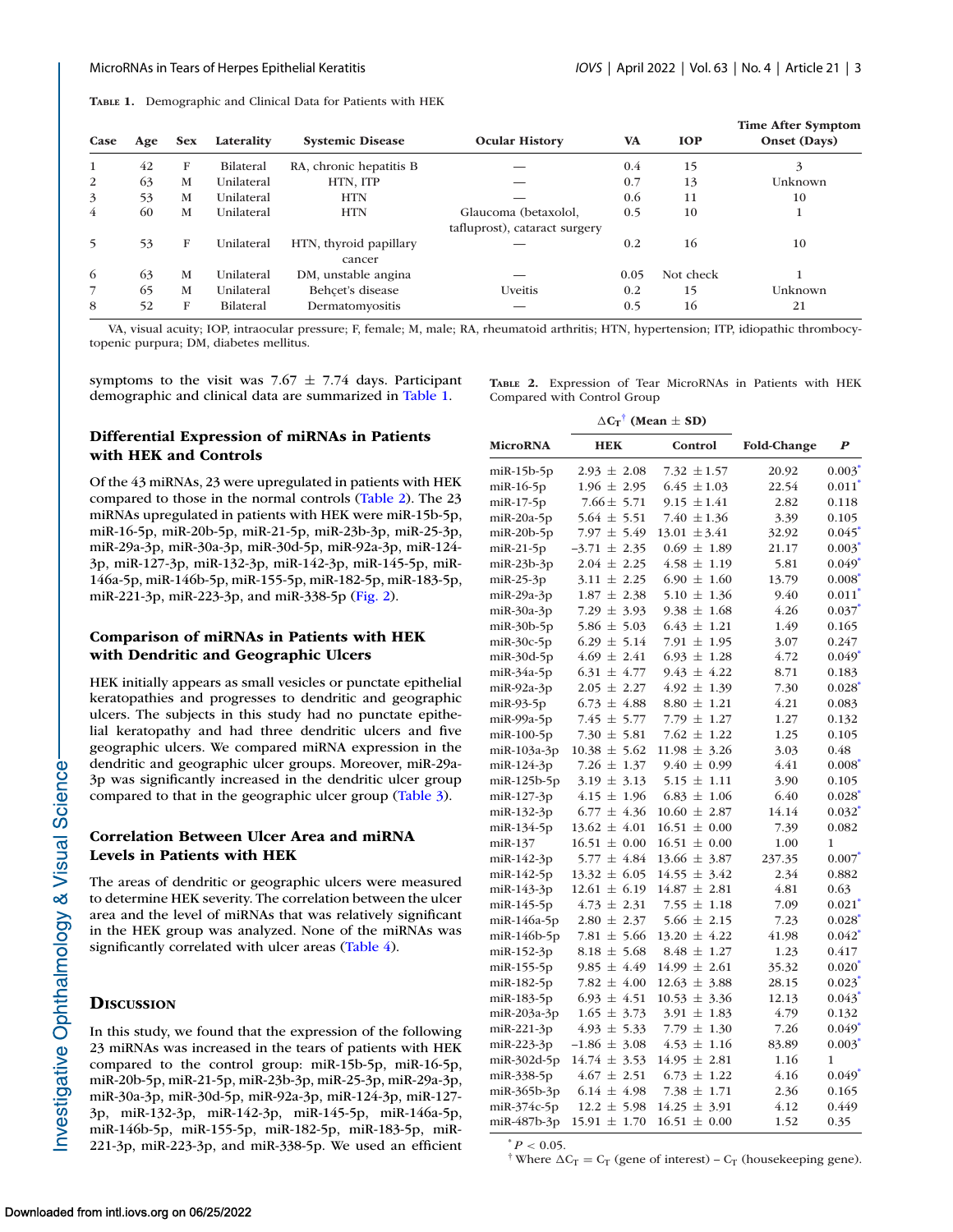<span id="page-2-0"></span>**TABLE 1.** Demographic and Clinical Data for Patients with HEK

| Case | Age | <b>Sex</b> | Laterality       | <b>Systemic Disease</b>          | <b>Ocular History</b>         | <b>VA</b> | <b>IOP</b> | <b>Time After Symptom</b><br>Onset (Days) |
|------|-----|------------|------------------|----------------------------------|-------------------------------|-----------|------------|-------------------------------------------|
| 1    | 42  | F          | <b>Bilateral</b> | RA, chronic hepatitis B          |                               | 0.4       | 15         | 3                                         |
| 2    | 63  | M          | Unilateral       | HTN, ITP                         |                               | 0.7       | 13         | Unknown                                   |
| 3    | 53  | M          | Unilateral       | <b>HTN</b>                       |                               | 0.6       | 11         | 10                                        |
| 4    | 60  | М          | Unilateral       | <b>HTN</b>                       | Glaucoma (betaxolol,          | 0.5       | 10         |                                           |
|      |     |            |                  |                                  | tafluprost), cataract surgery |           |            |                                           |
| 5    | 53  | F          | Unilateral       | HTN, thyroid papillary<br>cancer |                               | 0.2       | 16         | 10                                        |
| 6    | 63  | M          | Unilateral       | DM, unstable angina              |                               | 0.05      | Not check  |                                           |
|      | 65  | M          | Unilateral       | Behcet's disease                 | Uveitis                       | 0.2       | 15         | Unknown                                   |
| 8    | 52  | F          | Bilateral        | Dermatomyositis                  |                               | 0.5       | 16         | 21                                        |

VA, visual acuity; IOP, intraocular pressure; F, female; M, male; RA, rheumatoid arthritis; HTN, hypertension; ITP, idiopathic thrombocytopenic purpura; DM, diabetes mellitus.

symptoms to the visit was  $7.67 \pm 7.74$  days. Participant demographic and clinical data are summarized in Table 1.

**TABLE 2.** Expression of Tear MicroRNAs in Patients with HEK Compared with Control Group

# **Differential Expression of miRNAs in Patients with HEK and Controls**

Of the 43 miRNAs, 23 were upregulated in patients with HEK compared to those in the normal controls (Table 2). The 23 miRNAs upregulated in patients with HEK were miR-15b-5p, miR-16-5p, miR-20b-5p, miR-21-5p, miR-23b-3p, miR-25-3p, miR-29a-3p, miR-30a-3p, miR-30d-5p, miR-92a-3p, miR-124- 3p, miR-127-3p, miR-132-3p, miR-142-3p, miR-145-5p, miR-146a-5p, miR-146b-5p, miR-155-5p, miR-182-5p, miR-183-5p, miR-221-3p, miR-223-3p, and miR-338-5p [\(Fig. 2\)](#page-3-0).

# **Comparison of miRNAs in Patients with HEK with Dendritic and Geographic Ulcers**

HEK initially appears as small vesicles or punctate epithelial keratopathies and progresses to dendritic and geographic ulcers. The subjects in this study had no punctate epithelial keratopathy and had three dendritic ulcers and five geographic ulcers. We compared miRNA expression in the dendritic and geographic ulcer groups. Moreover, miR-29a-3p was significantly increased in the dendritic ulcer group compared to that in the geographic ulcer group [\(Table 3\)](#page-4-0).

# **Correlation Between Ulcer Area and miRNA Levels in Patients with HEK**

The areas of dendritic or geographic ulcers were measured to determine HEK severity. The correlation between the ulcer area and the level of miRNAs that was relatively significant in the HEK group was analyzed. None of the miRNAs was significantly correlated with ulcer areas [\(Table 4\)](#page-4-0).

#### **DISCUSSION**

In this study, we found that the expression of the following 23 miRNAs was increased in the tears of patients with HEK compared to the control group: miR-15b-5p, miR-16-5p, miR-20b-5p, miR-21-5p, miR-23b-3p, miR-25-3p, miR-29a-3p, miR-30a-3p, miR-30d-5p, miR-92a-3p, miR-124-3p, miR-127- 3p, miR-132-3p, miR-142-3p, miR-145-5p, miR-146a-5p, miR-146b-5p, miR-155-5p, miR-182-5p, miR-183-5p, miR-221-3p, miR-223-3p, and miR-338-5p. We used an efficient

|                      |                  | $\Delta C_T$ <sup>†</sup> (Mean $\pm$ SD) |                    |                      |
|----------------------|------------------|-------------------------------------------|--------------------|----------------------|
| <b>MicroRNA</b>      | <b>HEK</b>       | Control                                   | <b>Fold-Change</b> | $\boldsymbol{P}$     |
| $m$ iR-15 $b$ -5 $p$ | $2.93 \pm 2.08$  | 7.32 $\pm 1.57$                           | 20.92              | $0.003^*$            |
| $m$ iR-16-5 $p$      | $1.96 \pm 2.95$  | $6.45 \pm 1.03$                           | 22.54              | $0.011$ <sup>*</sup> |
| $m$ iR-17-5 $p$      | $7.66 \pm 5.71$  | $9.15 \pm 1.41$                           | 2.82               | 0.118                |
| $m$ iR-20a-5p        | $5.64 \pm 5.51$  | 7.40 $\pm$ 1.36                           | 3.39               | 0.105                |
| $m$ iR-20b-5p        | $7.97 \pm 5.49$  | $13.01 \pm 3.41$                          | 32.92              | $0.045$ <sup>*</sup> |
| $m$ iR-21-5 $p$      | $-3.71 \pm 2.35$ | $0.69 \pm 1.89$                           | 21.17              | $0.003*$             |
| $m$ iR-23b-3p        | $2.04 \pm 2.25$  | $4.58 \pm 1.19$                           | 5.81               | $0.049$ <sup>*</sup> |
| $m$ iR-25-3 $p$      | $3.11 \pm 2.25$  | $6.90 \pm 1.60$                           | 13.79              | $0.008^*$            |
| $m$ iR-29a-3p        | $1.87 \pm 2.38$  | $5.10 \pm 1.36$                           | 9.40               | $0.011$ <sup>*</sup> |
| $m$ iR-30a-3p        | 7.29 $\pm$ 3.93  | $9.38 \pm 1.68$                           | 4.26               | $0.037$ <sup>*</sup> |
| miR-30b-5p           | 5.86 $\pm$ 5.03  | $6.43 \pm 1.21$                           | 1.49               | 0.165                |
| $m$ iR-30c-5p        | $6.29 \pm 5.14$  | 7.91 $\pm$ 1.95                           | 3.07               | 0.247                |
| miR-30d-5p           | $4.69 \pm 2.41$  | $6.93 \pm 1.28$                           | 4.72               | $0.049*$             |
| $m$ iR-34a-5p        | $6.31 \pm 4.77$  | $9.43 \pm 4.22$                           | 8.71               | 0.183                |
| $miR-92a-3p$         | $2.05 \pm 2.27$  | $4.92 \pm 1.39$                           | 7.30               | $0.028^*$            |
| $m$ iR-93-5 $p$      | $6.73 \pm 4.88$  | $8.80 \pm 1.21$                           | 4.21               | 0.083                |
| $m$ iR-99a-5p        | $7.45 \pm 5.77$  | 7.79 $\pm$ 1.27                           | 1.27               | 0.132                |
| miR-100-5p           | 7.30 $\pm$ 5.81  | $7.62 \pm 1.22$                           | 1.25               | 0.105                |
| miR-103a-3p          | $10.38 \pm 5.62$ | $11.98 \pm 3.26$                          | 3.03               | 0.48                 |
| miR-124-3p           | 7.26 $\pm$ 1.37  | $9.40 \pm 0.99$                           | 4.41               | $0.008*$             |
| miR-125b-5p          | $3.19 \pm 3.13$  | $5.15 \pm 1.11$                           | 3.90               | 0.105                |
| miR-127-3p           | $4.15 \pm 1.96$  | $6.83 \pm 1.06$                           | 6.40               | $0.028^*$            |
| miR-132-3p           | $6.77 \pm 4.36$  | $10.60 \pm 2.87$                          | 14.14              | $0.032^*$            |
| miR-134-5p           | $13.62 \pm 4.01$ | $16.51 \pm 0.00$                          | 7.39               | 0.082                |
| miR-137              | $16.51 \pm 0.00$ | $16.51 \pm 0.00$                          | 1.00               | 1                    |
| miR-142-3p           | $5.77 \pm 4.84$  | $13.66 \pm 3.87$                          | 237.35             | $0.007^*$            |
| miR-142-5p           | $13.32 \pm 6.05$ | $14.55 \pm 3.42$                          | 2.34               | 0.882                |
| miR-143-3p           | $12.61 \pm 6.19$ | $14.87 \pm 2.81$                          | 4.81               | 0.63                 |
| miR-145-5p           | $4.73 \pm 2.31$  | 7.55 $\pm$ 1.18                           | 7.09               | $0.021$ <sup>*</sup> |
| $m$ iR-146a-5p       | $2.80 \pm 2.37$  | $5.66 \pm 2.15$                           | 7.23               | $0.028^{*}$          |
| miR-146b-5p          | 7.81 $\pm$ 5.66  | $13.20 \pm 4.22$                          | 41.98              | $0.042^*$            |
| miR-152-3p           | $8.18 \pm 5.68$  | $8.48 \pm 1.27$                           | 1.23               | 0.417                |
| miR-155-5p           | $9.85 \pm 4.49$  | $14.99 \pm 2.61$                          | 35.32              | $0.020^{*}$          |
| miR-182-5p           | 7.82 $\pm$ 4.00  | $12.63 \pm 3.88$                          | 28.15              | $0.023$ <sup>*</sup> |
| miR-183-5p           | $6.93 \pm 4.51$  | $10.53 \pm 3.36$                          | 12.13              | $0.043$ <sup>*</sup> |
| miR-203a-3p          | $1.65 \pm 3.73$  | $3.91 \pm 1.83$                           | 4.79               | 0.132                |
| $m$ iR-221-3p        | $4.93 \pm 5.33$  | 7.79 $\pm$ 1.30                           | 7.26               | $0.049*$             |
| miR-223-3p           | $-1.86 \pm 3.08$ | $4.53 \pm 1.16$                           | 83.89              | $0.003*$             |
| miR-302d-5p          | $14.74 \pm 3.53$ | $14.95 \pm 2.81$                          | 1.16               | 1                    |
| miR-338-5p           | $4.67 \pm 2.51$  | $6.73 \pm 1.22$                           | 4.16               | $0.049$ <sup>*</sup> |
| $m$ iR-365b-3p       | $6.14 \pm 4.98$  | $7.38 \pm 1.71$                           | 2.36               | 0.165                |
| miR-374c-5p          | $12.2 \pm 5.98$  | $14.25 \pm 3.91$                          | 4.12               | 0.449                |
| miR-487b-3p          | $15.91 \pm 1.70$ | $16.51 \pm 0.00$                          | 1.52               | 0.35                 |

 $P < 0.05$ .

<sup>†</sup> Where  $\Delta C_T = C_T$  (gene of interest) –  $C_T$  (housekeeping gene).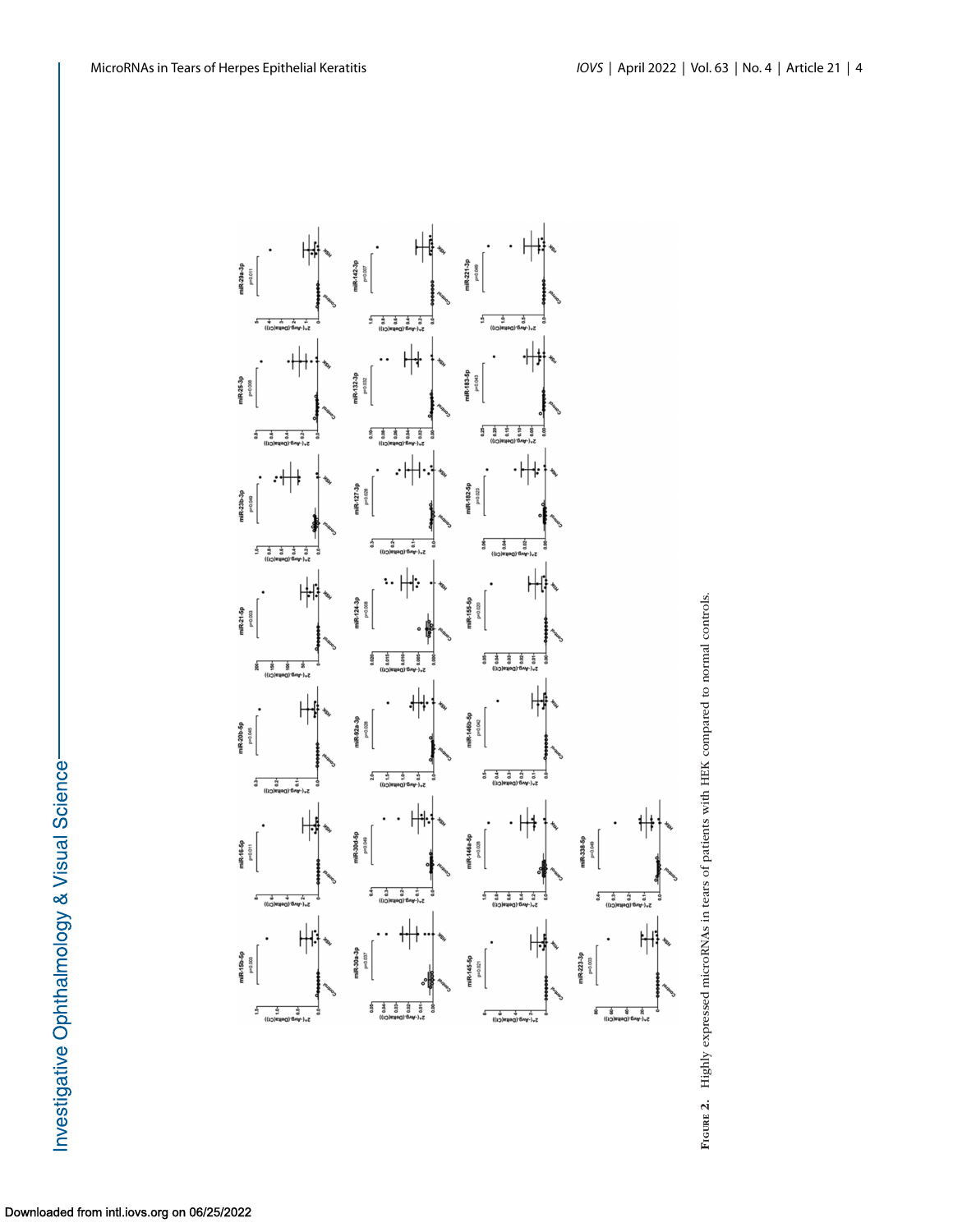<span id="page-3-0"></span>



Investigative Ophthalmology & Visual Science-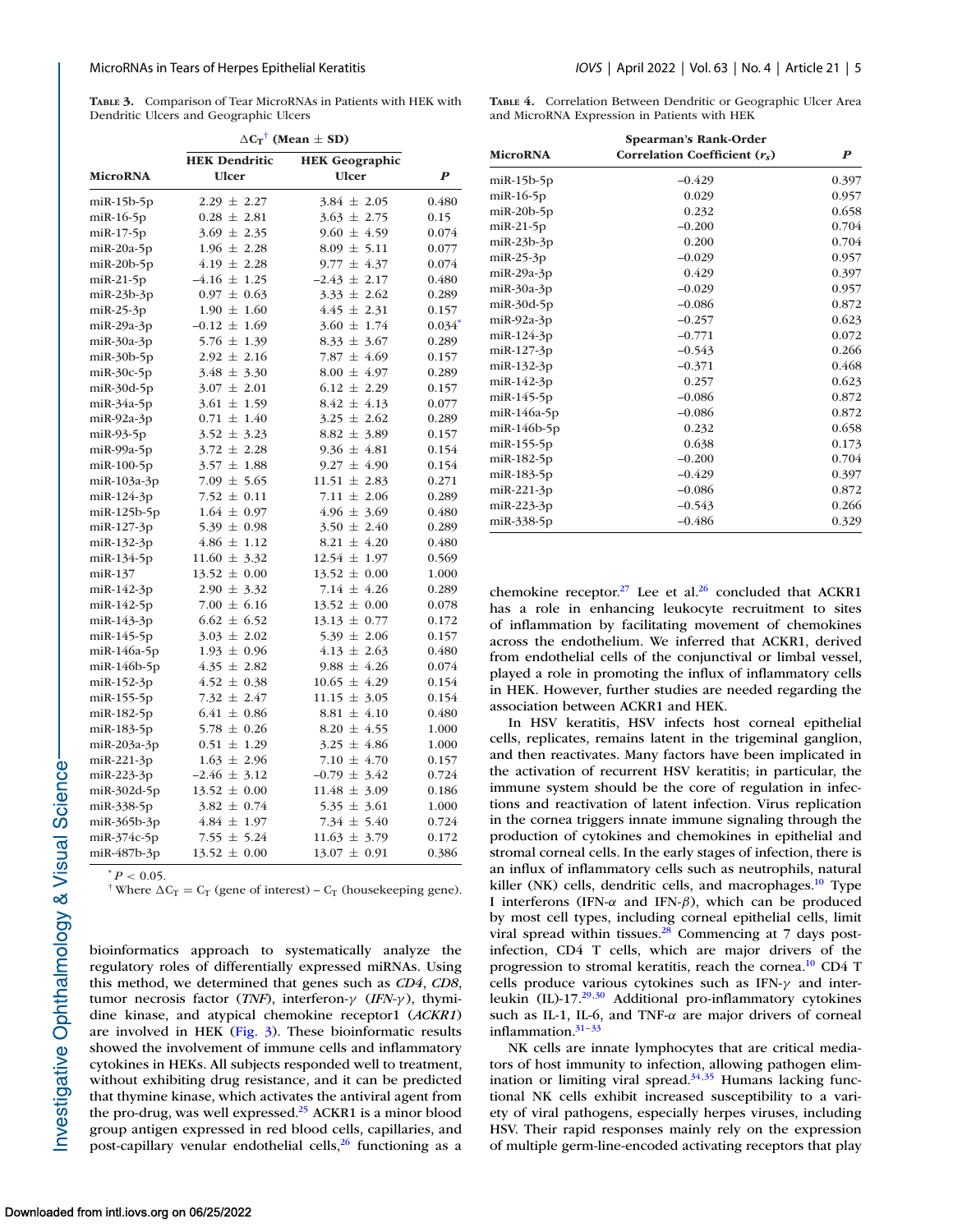<span id="page-4-0"></span>**TABLE 3.** Comparison of Tear MicroRNAs in Patients with HEK with Dendritic Ulcers and Geographic Ulcers

|                      | $\Delta C_T$ <sup>†</sup> (Mean $\pm$ SD) |                                     |                      |  |  |
|----------------------|-------------------------------------------|-------------------------------------|----------------------|--|--|
|                      | <b>HEK Dendritic</b>                      | <b>HEK</b> Geographic               |                      |  |  |
| <b>MicroRNA</b>      | <b>Ulcer</b>                              | <b>Ulcer</b>                        | $\boldsymbol{P}$     |  |  |
|                      |                                           | $3.84 \pm 2.05$                     | 0.480                |  |  |
| $m$ iR-15 $b$ -5 $p$ | $2.29 \pm 2.27$<br>$0.28 \pm 2.81$        |                                     |                      |  |  |
| $m$ iR-16-5 $p$      |                                           | $3.63 \pm 2.75$                     | 0.15                 |  |  |
| $m$ i $R-17-5p$      | $3.69 \pm 2.35$                           | $9.60 \pm 4.59$                     | 0.074                |  |  |
| $m$ iR-20a-5p        | $1.96 \pm 2.28$<br>$4.19 \pm 2.28$        | $8.09 \pm 5.11$<br>$9.77 \pm 4.37$  | 0.077<br>0.074       |  |  |
| $m$ iR-20 $b$ -5 $p$ |                                           |                                     |                      |  |  |
| $m$ iR-21-5 $p$      | $-4.16 \pm 1.25$                          | $-2.43 \pm 2.17$<br>$3.33 \pm 2.62$ | 0.480                |  |  |
| $m$ iR-23b-3p        | $0.97 \pm 0.63$                           |                                     | 0.289                |  |  |
| $m$ iR-25-3p         | $1.90 \pm 1.60$                           | $4.45 \pm 2.31$                     | 0.157                |  |  |
| miR-29a-3p           | $-0.12 \pm 1.69$                          | $3.60 \pm 1.74$                     | $0.034$ <sup>*</sup> |  |  |
| $m$ iR-30a-3p        | $5.76 \pm 1.39$                           | $8.33 \pm 3.67$                     | 0.289                |  |  |
| $m$ iR-30b-5p        | $2.92 \pm 2.16$                           | 7.87 $\pm$ 4.69                     | 0.157                |  |  |
| $miR-30c-5p$         | $3.48 \pm 3.30$                           | $8.00 \pm 4.97$                     | 0.289                |  |  |
| $m$ iR-30d-5p        | $3.07 \pm 2.01$                           | $6.12 \pm 2.29$                     | 0.157                |  |  |
| $m$ iR-34a-5p        | $3.61 \pm 1.59$                           | $8.42 \pm 4.13$                     | 0.077                |  |  |
| $miR-92a-3p$         | $0.71 \pm 1.40$                           | $3.25 \pm 2.62$                     | 0.289                |  |  |
| $m$ iR-93-5 $p$      | $3.52 \pm 3.23$                           | $8.82 \pm 3.89$                     | 0.157                |  |  |
| $m$ iR-99a-5 $p$     | $3.72 \pm 2.28$                           | $9.36 \pm 4.81$                     | 0.154                |  |  |
| $m$ i $R-100-5p$     | $3.57 \pm 1.88$                           | $9.27 \pm 4.90$                     | 0.154                |  |  |
| miR-103a-3p          | $7.09 \pm 5.65$                           | $11.51 \pm 2.83$                    | 0.271                |  |  |
| miR-124-3p           | 7.52 $\pm$ 0.11                           | 7.11 $\pm$ 2.06                     | 0.289                |  |  |
| $m$ iR-125b-5p       | $1.64 \pm 0.97$                           | $4.96 \pm 3.69$                     | 0.480                |  |  |
| miR-127-3p           | $5.39 \pm 0.98$                           | $3.50 \pm 2.40$                     | 0.289                |  |  |
| miR-132-3p           | $4.86 \pm 1.12$                           | $8.21 \pm 4.20$                     | 0.480                |  |  |
| miR-134-5p           | $11.60 \pm 3.32$                          | $12.54 \pm 1.97$                    | 0.569                |  |  |
| miR-137              | $13.52 \pm 0.00$                          | $13.52 \pm 0.00$                    | 1.000                |  |  |
| miR-142-3p           | $2.90 \pm 3.32$                           | $7.14 \pm 4.26$                     | 0.289                |  |  |
| miR-142-5p           | $7.00 \pm 6.16$                           | $13.52 \pm 0.00$                    | 0.078                |  |  |
| miR-143-3p           | $6.62 \pm 6.52$                           | $13.13 \pm 0.77$                    | 0.172                |  |  |
| miR-145-5p           | $3.03 \pm 2.02$                           | $5.39 \pm 2.06$                     | 0.157                |  |  |
| miR-146a-5p          | $1.93 \pm 0.96$                           | $4.13 \pm 2.63$                     | 0.480                |  |  |
| $m$ iR-146b-5p       | $4.35 \pm 2.82$                           | $9.88 \pm 4.26$                     | 0.074                |  |  |
| miR-152-3p           | $4.52 \pm 0.38$                           | $10.65 \pm 4.29$                    | 0.154                |  |  |
| miR-155-5p           | 7.32 $\pm$ 2.47                           | $11.15 \pm 3.05$                    | 0.154                |  |  |
| miR-182-5p           | $6.41 \pm 0.86$                           | $8.81 \pm 4.10$                     | 0.480                |  |  |
| miR-183-5p           | $5.78 \pm 0.26$                           | $8.20 \pm 4.55$                     | 1.000                |  |  |
| $m$ iR-203a-3p       | $0.51 \pm 1.29$                           | $3.25 \pm 4.86$                     | 1.000                |  |  |
| miR-221-3p           | $1.63 \pm 2.96$                           | 7.10 $\pm$ 4.70                     | 0.157                |  |  |
| miR-223-3p           | $-2.46 \pm 3.12$                          | $-0.79 \pm 3.42$                    | 0.724                |  |  |
| miR-302d-5p          | $13.52 \pm 0.00$                          | $11.48 \pm 3.09$                    | 0.186                |  |  |
| miR-338-5p           | $3.82 \pm 0.74$                           | $5.35 \pm 3.61$                     | 1.000                |  |  |
| $m$ iR-365b-3p       | $4.84 \pm 1.97$                           | 7.34 $\pm$ 5.40                     | 0.724                |  |  |
| miR-374c-5p          | 7.55 $\pm$ 5.24                           | $11.63 \pm 3.79$                    | 0.172                |  |  |
| miR-487b-3p          | $13.52 \pm 0.00$                          | $13.07 \pm 0.91$                    | 0.386                |  |  |
|                      |                                           |                                     |                      |  |  |

 $^*P < 0.05$ .

<sup>†</sup> Where  $\Delta C_T = C_T$  (gene of interest) –  $C_T$  (housekeeping gene).

bioinformatics approach to systematically analyze the regulatory roles of differentially expressed miRNAs. Using this method, we determined that genes such as *CD4*, *CD8*, tumor necrosis factor (*TNF*), interferon-γ (*IFN-*γ ), thymidine kinase, and atypical chemokine receptor1 (*ACKR1*) are involved in HEK [\(Fig. 3\)](#page-5-0). These bioinformatic results showed the involvement of immune cells and inflammatory cytokines in HEKs. All subjects responded well to treatment, without exhibiting drug resistance, and it can be predicted that thymine kinase, which activates the antiviral agent from the pro-drug, was well expressed.<sup>25</sup> ACKR1 is a minor blood group antigen expressed in red blood cells, capillaries, and post-capillary venular endothelial cells, $26$  functioning as a **TABLE 4.** Correlation Between Dendritic or Geographic Ulcer Area and MicroRNA Expression in Patients with HEK

|                      | Spearman's Rank-Order           |                  |
|----------------------|---------------------------------|------------------|
| <b>MicroRNA</b>      | Correlation Coefficient $(r_s)$ | $\boldsymbol{P}$ |
| $m$ iR-15b-5 $p$     | $-0.429$                        | 0.397            |
| $m$ iR-16-5 $p$      | 0.029                           | 0.957            |
| $m$ iR-20 $b$ -5 $p$ | 0.232                           | 0.658            |
| $m$ iR-21-5 $p$      | $-0.200$                        | 0.704            |
| $m$ iR-23b-3p        | 0.200                           | 0.704            |
| $m$ iR-25-3 $p$      | $-0.029$                        | 0.957            |
| $m$ iR-29a-3p        | 0.429                           | 0.397            |
| $m$ iR-30a-3p        | $-0.029$                        | 0.957            |
| $miR-30d-5p$         | $-0.086$                        | 0.872            |
| $miR-92a-3p$         | $-0.257$                        | 0.623            |
| miR-124-3p           | $-0.771$                        | 0.072            |
| $m$ iR-127-3p        | $-0.543$                        | 0.266            |
| miR-132-3p           | $-0.371$                        | 0.468            |
| miR-142-3p           | 0.257                           | 0.623            |
| $m$ iR-145-5 $p$     | $-0.086$                        | 0.872            |
| $m$ iR-146a-5p       | $-0.086$                        | 0.872            |
| $m$ iR-146b-5p       | 0.232                           | 0.658            |
| miR-155-5p           | 0.638                           | 0.173            |
| miR-182-5p           | $-0.200$                        | 0.704            |
| miR-183-5p           | $-0.429$                        | 0.397            |
| miR-221-3p           | $-0.086$                        | 0.872            |
| miR-223-3p           | $-0.543$                        | 0.266            |
| miR-338-5p           | $-0.486$                        | 0.329            |

chemokine receptor.<sup>27</sup> Lee et al.<sup>26</sup> concluded that ACKR1 has a role in enhancing leukocyte recruitment to sites of inflammation by facilitating movement of chemokines across the endothelium. We inferred that ACKR1, derived from endothelial cells of the conjunctival or limbal vessel, played a role in promoting the influx of inflammatory cells in HEK. However, further studies are needed regarding the association between ACKR1 and HEK.

In HSV keratitis, HSV infects host corneal epithelial cells, replicates, remains latent in the trigeminal ganglion, and then reactivates. Many factors have been implicated in the activation of recurrent HSV keratitis; in particular, the immune system should be the core of regulation in infections and reactivation of latent infection. Virus replication in the cornea triggers innate immune signaling through the production of cytokines and chemokines in epithelial and stromal corneal cells. In the early stages of infection, there is an influx of inflammatory cells such as neutrophils, natural killer (NK) cells, dendritic cells, and macrophages.<sup>10</sup> Type I interferons (IFN-α and IFN-β), which can be produced by most cell types, including corneal epithelial cells, limit viral spread within tissues. $28$  Commencing at 7 days postinfection, CD4 T cells, which are major drivers of the progression to stromal keratitis, reach the cornea[.10](#page-6-0) CD4 T cells produce various cytokines such as IFN-γ and interleukin (IL)-17[.29,30](#page-6-0) Additional pro-inflammatory cytokines such as IL-1, IL-6, and TNF- $\alpha$  are major drivers of corneal inflammation. $31-33$ 

NK cells are innate lymphocytes that are critical mediators of host immunity to infection, allowing pathogen elimination or limiting viral spread. $34,35$  Humans lacking functional NK cells exhibit increased susceptibility to a variety of viral pathogens, especially herpes viruses, including HSV. Their rapid responses mainly rely on the expression of multiple germ-line-encoded activating receptors that play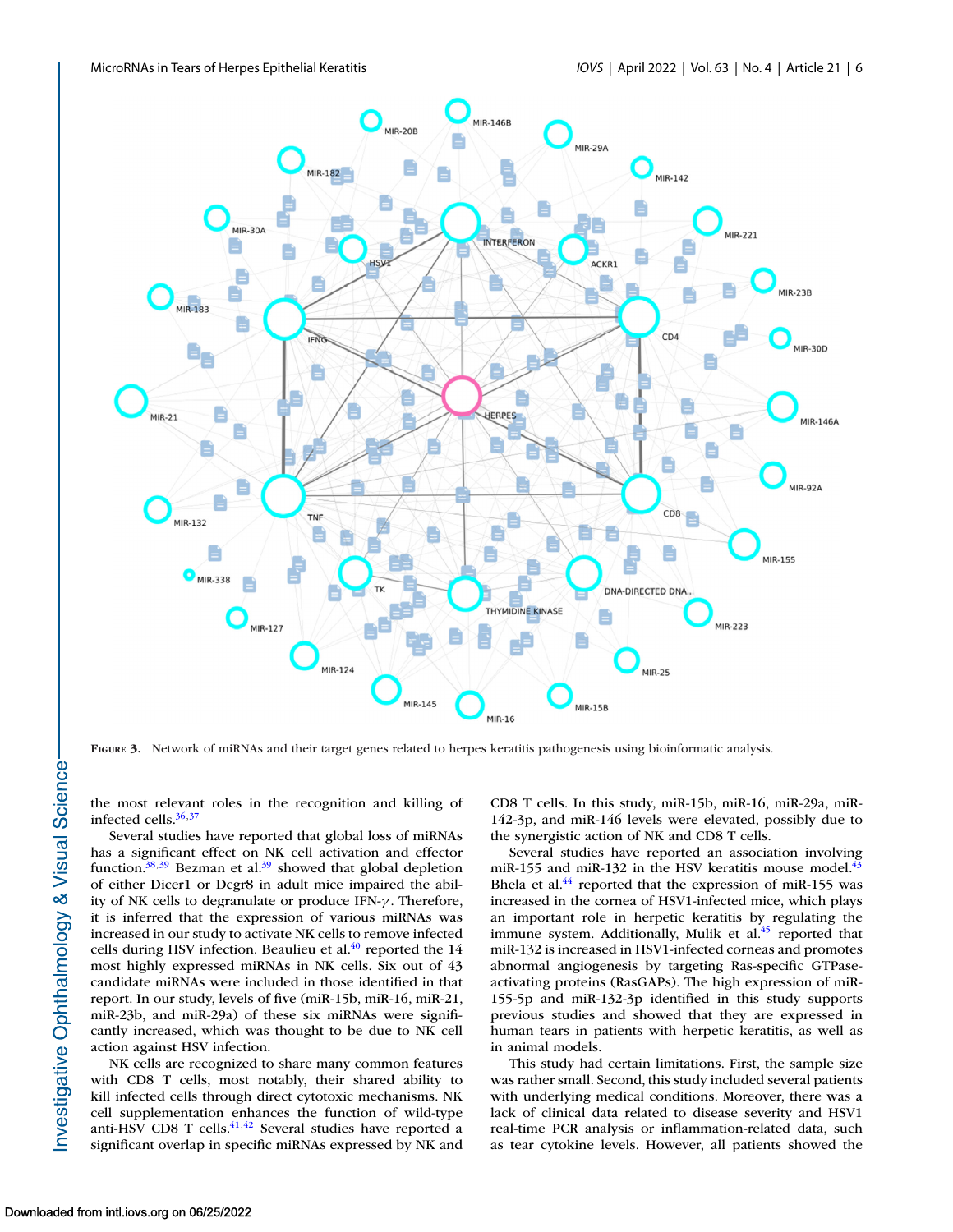<span id="page-5-0"></span>

**FIGURE 3.** Network of miRNAs and their target genes related to herpes keratitis pathogenesis using bioinformatic analysis.

the most relevant roles in the recognition and killing of infected cells. $36,37$ 

Several studies have reported that global loss of miRNAs has a significant effect on NK cell activation and effector function. $38,39$  Bezman et al. $39$  showed that global depletion of either Dicer1 or Dcgr8 in adult mice impaired the ability of NK cells to degranulate or produce IFN-γ . Therefore, it is inferred that the expression of various miRNAs was increased in our study to activate NK cells to remove infected cells during HSV infection. Beaulieu et al.<sup>40</sup> reported the 14 most highly expressed miRNAs in NK cells. Six out of 43 candidate miRNAs were included in those identified in that report. In our study, levels of five (miR-15b, miR-16, miR-21, miR-23b, and miR-29a) of these six miRNAs were significantly increased, which was thought to be due to NK cell action against HSV infection.

NK cells are recognized to share many common features with CD8 T cells, most notably, their shared ability to kill infected cells through direct cytotoxic mechanisms. NK cell supplementation enhances the function of wild-type anti-HSV CD8 T cells. $41,42$  Several studies have reported a significant overlap in specific miRNAs expressed by NK and

CD8 T cells. In this study, miR-15b, miR-16, miR-29a, miR-142-3p, and miR-146 levels were elevated, possibly due to the synergistic action of NK and CD8 T cells.

Several studies have reported an association involving miR-155 and miR-132 in the HSV keratitis mouse model. $43$ Bhela et al.<sup>44</sup> reported that the expression of miR-155 was increased in the cornea of HSV1-infected mice, which plays an important role in herpetic keratitis by regulating the immune system. Additionally, Mulik et al.<sup>45</sup> reported that miR-132 is increased in HSV1-infected corneas and promotes abnormal angiogenesis by targeting Ras-specific GTPaseactivating proteins (RasGAPs). The high expression of miR-155-5p and miR-132-3p identified in this study supports previous studies and showed that they are expressed in human tears in patients with herpetic keratitis, as well as in animal models.

This study had certain limitations. First, the sample size was rather small. Second, this study included several patients with underlying medical conditions. Moreover, there was a lack of clinical data related to disease severity and HSV1 real-time PCR analysis or inflammation-related data, such as tear cytokine levels. However, all patients showed the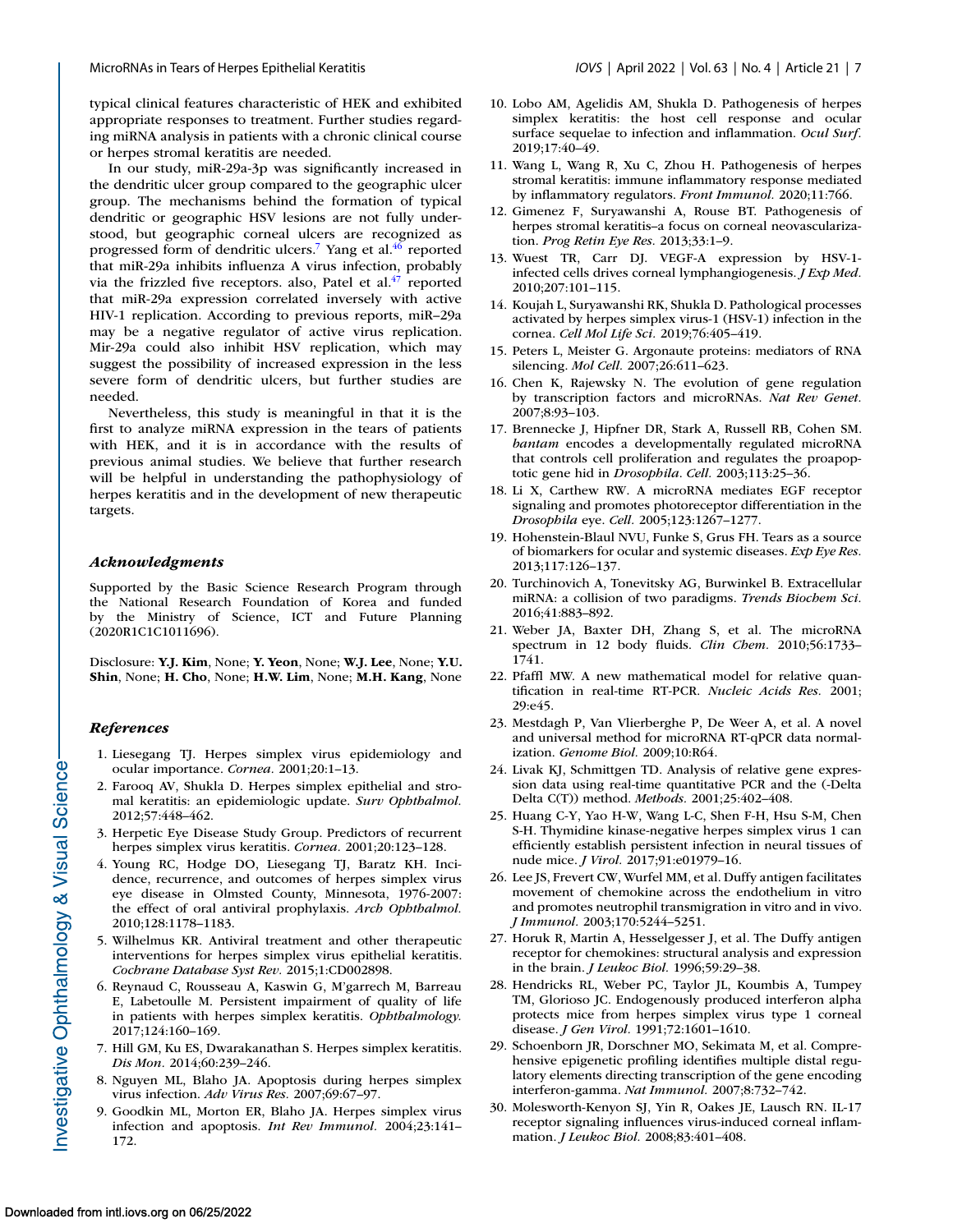<span id="page-6-0"></span>typical clinical features characteristic of HEK and exhibited appropriate responses to treatment. Further studies regarding miRNA analysis in patients with a chronic clinical course or herpes stromal keratitis are needed.

In our study, miR-29a-3p was significantly increased in the dendritic ulcer group compared to the geographic ulcer group. The mechanisms behind the formation of typical dendritic or geographic HSV lesions are not fully understood, but geographic corneal ulcers are recognized as progressed form of dendritic ulcers.<sup>7</sup> Yang et al.<sup>46</sup> reported that miR-29a inhibits influenza A virus infection, probably via the frizzled five receptors. also, Patel et  $al^{47}$  reported that miR-29a expression correlated inversely with active HIV-1 replication. According to previous reports, miR–29a may be a negative regulator of active virus replication. Mir-29a could also inhibit HSV replication, which may suggest the possibility of increased expression in the less severe form of dendritic ulcers, but further studies are needed.

Nevertheless, this study is meaningful in that it is the first to analyze miRNA expression in the tears of patients with HEK, and it is in accordance with the results of previous animal studies. We believe that further research will be helpful in understanding the pathophysiology of herpes keratitis and in the development of new therapeutic targets.

#### *Acknowledgments*

Supported by the Basic Science Research Program through the National Research Foundation of Korea and funded by the Ministry of Science, ICT and Future Planning (2020R1C1C1011696).

Disclosure: **Y.J. Kim**, None; **Y. Yeon**, None; **W.J. Lee**, None; **Y.U. Shin**, None; **H. Cho**, None; **H.W. Lim**, None; **M.H. Kang**, None

#### *References*

- 1. Liesegang TJ. Herpes simplex virus epidemiology and ocular importance. *Cornea.* 2001;20:1–13.
- 2. Farooq AV, Shukla D. Herpes simplex epithelial and stromal keratitis: an epidemiologic update. *Surv Ophthalmol.* 2012;57:448–462.
- 3. Herpetic Eye Disease Study Group. Predictors of recurrent herpes simplex virus keratitis. *Cornea.* 2001;20:123–128.
- 4. Young RC, Hodge DO, Liesegang TJ, Baratz KH. Incidence, recurrence, and outcomes of herpes simplex virus eye disease in Olmsted County, Minnesota, 1976-2007: the effect of oral antiviral prophylaxis. *Arch Ophthalmol.* 2010;128:1178–1183.
- 5. Wilhelmus KR. Antiviral treatment and other therapeutic interventions for herpes simplex virus epithelial keratitis. *Cochrane Database Syst Rev.* 2015;1:CD002898.
- 6. Reynaud C, Rousseau A, Kaswin G, M'garrech M, Barreau E, Labetoulle M. Persistent impairment of quality of life in patients with herpes simplex keratitis. *Ophthalmology.* 2017;124:160–169.
- 7. Hill GM, Ku ES, Dwarakanathan S. Herpes simplex keratitis. *Dis Mon.* 2014;60:239–246.
- 8. Nguyen ML, Blaho JA. Apoptosis during herpes simplex virus infection. *Adv Virus Res.* 2007;69:67–97.
- 9. Goodkin ML, Morton ER, Blaho JA. Herpes simplex virus infection and apoptosis. *Int Rev Immunol.* 2004;23:141– 172.
- 10. Lobo AM, Agelidis AM, Shukla D. Pathogenesis of herpes simplex keratitis: the host cell response and ocular surface sequelae to infection and inflammation. *Ocul Surf.* 2019;17:40–49.
- 11. Wang L, Wang R, Xu C, Zhou H. Pathogenesis of herpes stromal keratitis: immune inflammatory response mediated by inflammatory regulators. *Front Immunol.* 2020;11:766.
- 12. Gimenez F, Suryawanshi A, Rouse BT. Pathogenesis of herpes stromal keratitis–a focus on corneal neovascularization. *Prog Retin Eye Res.* 2013;33:1–9.
- 13. Wuest TR, Carr DJ. VEGF-A expression by HSV-1 infected cells drives corneal lymphangiogenesis. *J Exp Med.* 2010;207:101–115.
- 14. Koujah L, Suryawanshi RK, Shukla D. Pathological processes activated by herpes simplex virus-1 (HSV-1) infection in the cornea. *Cell Mol Life Sci.* 2019;76:405–419.
- 15. Peters L, Meister G. Argonaute proteins: mediators of RNA silencing. *Mol Cell.* 2007;26:611–623.
- 16. Chen K, Rajewsky N. The evolution of gene regulation by transcription factors and microRNAs. *Nat Rev Genet.* 2007;8:93–103.
- 17. Brennecke J, Hipfner DR, Stark A, Russell RB, Cohen SM. *bantam* encodes a developmentally regulated microRNA that controls cell proliferation and regulates the proapoptotic gene hid in *Drosophila*. *Cell.* 2003;113:25–36.
- 18. Li X, Carthew RW. A microRNA mediates EGF receptor signaling and promotes photoreceptor differentiation in the *Drosophila* eye. *Cell.* 2005;123:1267–1277.
- 19. Hohenstein-Blaul NVU, Funke S, Grus FH. Tears as a source of biomarkers for ocular and systemic diseases. *Exp Eye Res.* 2013;117:126–137.
- 20. Turchinovich A, Tonevitsky AG, Burwinkel B. Extracellular miRNA: a collision of two paradigms. *Trends Biochem Sci.* 2016;41:883–892.
- 21. Weber JA, Baxter DH, Zhang S, et al. The microRNA spectrum in 12 body fluids. *Clin Chem.* 2010;56:1733– 1741.
- 22. Pfaffl MW. A new mathematical model for relative quantification in real-time RT-PCR. *Nucleic Acids Res.* 2001; 29:e45.
- 23. Mestdagh P, Van Vlierberghe P, De Weer A, et al. A novel and universal method for microRNA RT-qPCR data normalization. *Genome Biol.* 2009;10:R64.
- 24. Livak KJ, Schmittgen TD. Analysis of relative gene expression data using real-time quantitative PCR and the (-Delta Delta C(T)) method. *Methods.* 2001;25:402–408.
- 25. Huang C-Y, Yao H-W, Wang L-C, Shen F-H, Hsu S-M, Chen S-H. Thymidine kinase-negative herpes simplex virus 1 can efficiently establish persistent infection in neural tissues of nude mice. *J Virol.* 2017;91:e01979–16.
- 26. Lee JS, Frevert CW, Wurfel MM, et al. Duffy antigen facilitates movement of chemokine across the endothelium in vitro and promotes neutrophil transmigration in vitro and in vivo. *J Immunol.* 2003;170:5244–5251.
- 27. Horuk R, Martin A, Hesselgesser J, et al. The Duffy antigen receptor for chemokines: structural analysis and expression in the brain. *J Leukoc Biol.* 1996;59:29–38.
- 28. Hendricks RL, Weber PC, Taylor JL, Koumbis A, Tumpey TM, Glorioso JC. Endogenously produced interferon alpha protects mice from herpes simplex virus type 1 corneal disease. *J Gen Virol.* 1991;72:1601–1610.
- 29. Schoenborn JR, Dorschner MO, Sekimata M, et al. Comprehensive epigenetic profiling identifies multiple distal regulatory elements directing transcription of the gene encoding interferon-gamma. *Nat Immunol.* 2007;8:732–742.
- 30. Molesworth-Kenyon SJ, Yin R, Oakes JE, Lausch RN. IL-17 receptor signaling influences virus-induced corneal inflammation. *J Leukoc Biol.* 2008;83:401–408.